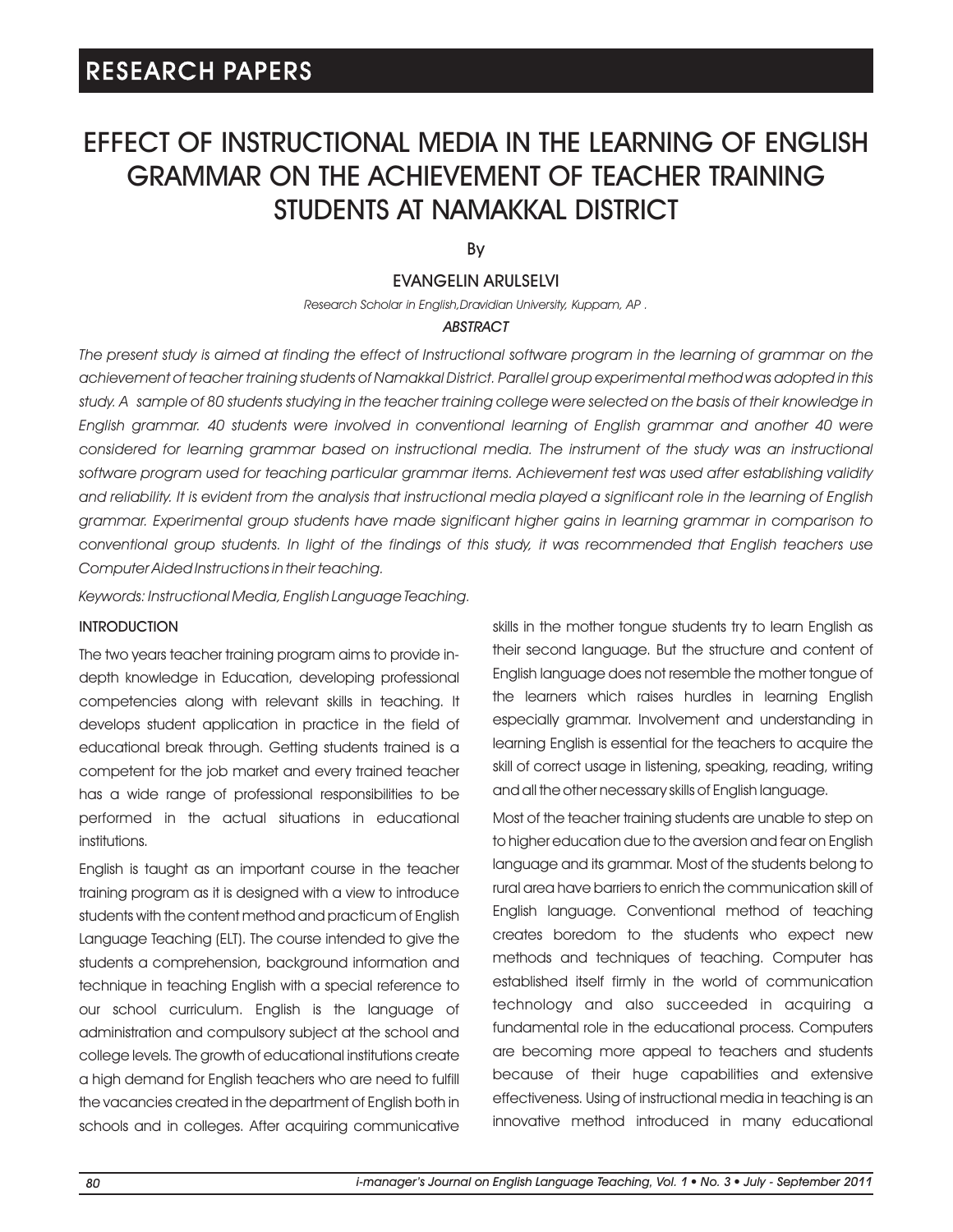# EFFECT OF INSTRUCTIONAL MEDIA IN THE LEARNING OF ENGLISH GRAMMAR ON THE ACHIEVEMENT OF TEACHER TRAINING STUDENTS AT NAMAKKAL DISTRICT

By

# EVANGELIN ARULSELVI

*Research Scholar in English,Dravidian University, Kuppam, AP .*

# *ABSTRACT*

The present study is aimed at finding the effect of Instructional software program in the learning of grammar on the *achievement of teacher training students of Namakkal District. Parallel group experimental method was adopted in this study. A sample of 80 students studying in the teacher training college were selected on the basis of their knowledge in English grammar. 40 students were involved in conventional learning of English grammar and another 40 were*  considered for learning grammar based on instructional media. The instrument of the study was an instructional *software program used for teaching particular grammar items. Achievement test was used after establishing validity and reliability. It is evident from the analysis that instructional media played a significant role in the learning of English grammar. Experimental group students have made significant higher gains in learning grammar in comparison to conventional group students. In light of the findings of this study, it was recommended that English teachers use Computer Aided Instructions in their teaching.*

*Keywords: Instructional Media, English Language Teaching.*

# **INTRODUCTION**

The two years teacher training program aims to provide indepth knowledge in Education, developing professional competencies along with relevant skills in teaching. It develops student application in practice in the field of educational break through. Getting students trained is a competent for the job market and every trained teacher has a wide range of professional responsibilities to be performed in the actual situations in educational institutions.

English is taught as an important course in the teacher training program as it is designed with a view to introduce students with the content method and practicum of English Language Teaching (ELT). The course intended to give the students a comprehension, background information and technique in teaching English with a special reference to our school curriculum. English is the language of administration and compulsory subject at the school and college levels. The growth of educational institutions create a high demand for English teachers who are need to fulfill the vacancies created in the department of English both in schools and in colleges. After acquiring communicative skills in the mother tongue students try to learn English as their second language. But the structure and content of English language does not resemble the mother tongue of the learners which raises hurdles in learning English especially grammar. Involvement and understanding in learning English is essential for the teachers to acquire the skill of correct usage in listening, speaking, reading, writing and all the other necessary skills of English language.

Most of the teacher training students are unable to step on to higher education due to the aversion and fear on English language and its grammar. Most of the students belong to rural area have barriers to enrich the communication skill of English language. Conventional method of teaching creates boredom to the students who expect new methods and techniques of teaching. Computer has established itself firmly in the world of communication technology and also succeeded in acquiring a fundamental role in the educational process. Computers are becoming more appeal to teachers and students because of their huge capabilities and extensive effectiveness. Using of instructional media in teaching is an innovative method introduced in many educational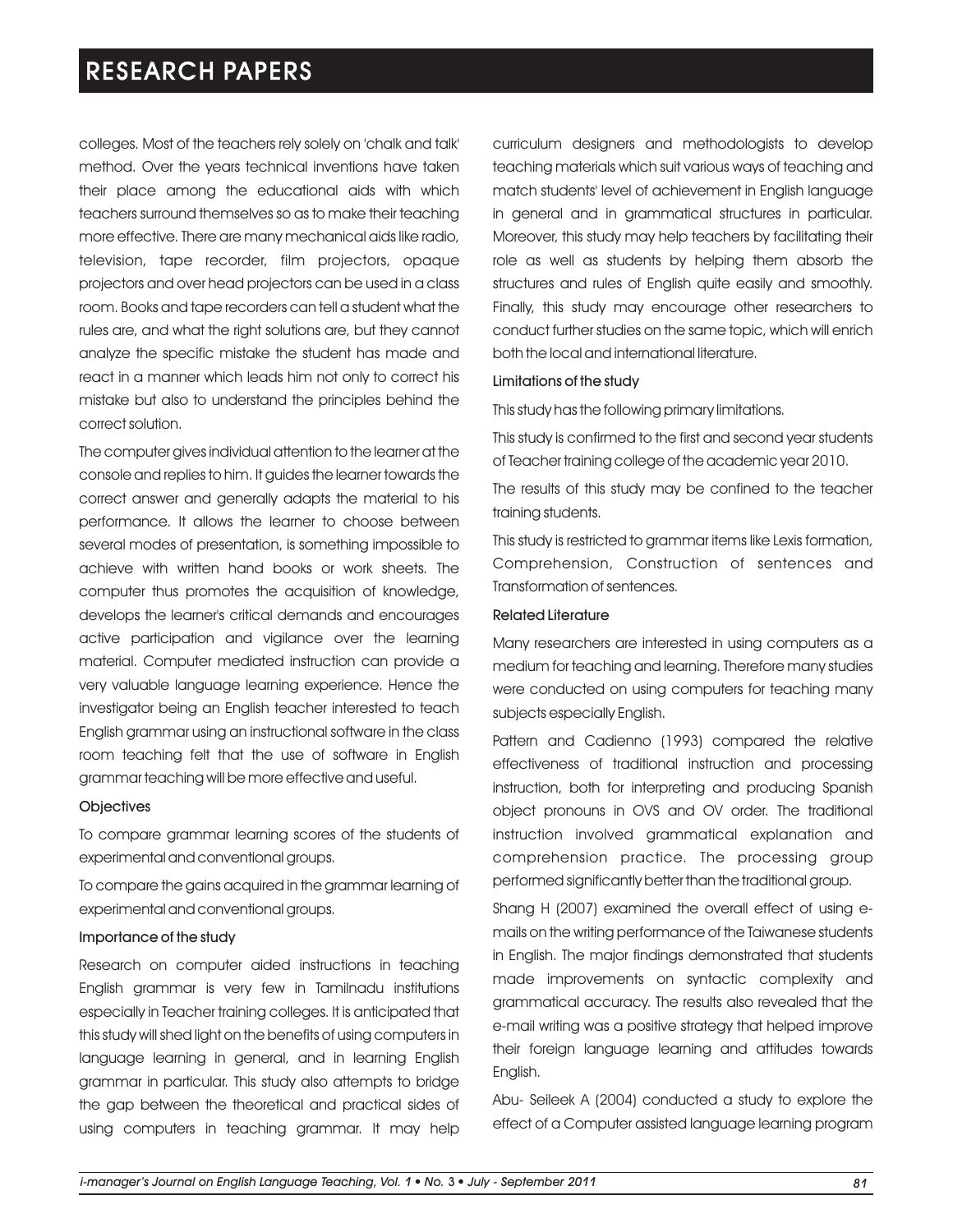colleges. Most of the teachers rely solely on 'chalk and talk' method. Over the years technical inventions have taken their place among the educational aids with which teachers surround themselves so as to make their teaching more effective. There are many mechanical aids like radio, television, tape recorder, film projectors, opaque projectors and over head projectors can be used in a class room. Books and tape recorders can tell a student what the rules are, and what the right solutions are, but they cannot analyze the specific mistake the student has made and react in a manner which leads him not only to correct his mistake but also to understand the principles behind the correct solution.

The computer gives individual attention to the learner at the console and replies to him. It guides the learner towards the correct answer and generally adapts the material to his performance. It allows the learner to choose between several modes of presentation, is something impossible to achieve with written hand books or work sheets. The computer thus promotes the acquisition of knowledge, develops the learner's critical demands and encourages active participation and vigilance over the learning material. Computer mediated instruction can provide a very valuable language learning experience. Hence the investigator being an English teacher interested to teach English grammar using an instructional software in the class room teaching felt that the use of software in English grammar teaching will be more effective and useful.

#### **Objectives**

To compare grammar learning scores of the students of experimental and conventional groups.

To compare the gains acquired in the grammar learning of experimental and conventional groups.

### Importance of the study

Research on computer aided instructions in teaching English grammar is very few in Tamilnadu institutions especially in Teacher training colleges. It is anticipated that this study will shed light on the benefits of using computers in language learning in general, and in learning English grammar in particular. This study also attempts to bridge the gap between the theoretical and practical sides of using computers in teaching grammar. It may help curriculum designers and methodologists to develop teaching materials which suit various ways of teaching and match students' level of achievement in English language in general and in grammatical structures in particular. Moreover, this study may help teachers by facilitating their role as well as students by helping them absorb the structures and rules of English quite easily and smoothly. Finally, this study may encourage other researchers to conduct further studies on the same topic, which will enrich both the local and international literature.

#### Limitations of the study

This study has the following primary limitations.

This study is confirmed to the first and second year students of Teacher training college of the academic year 2010.

The results of this study may be confined to the teacher training students.

This study is restricted to grammar items like Lexis formation, Comprehension, Construction of sentences and Transformation of sentences.

#### Related Literature

Many researchers are interested in using computers as a medium for teaching and learning. Therefore many studies were conducted on using computers for teaching many subjects especially English.

Pattern and Cadienno (1993) compared the relative effectiveness of traditional instruction and processing instruction, both for interpreting and producing Spanish object pronouns in OVS and OV order. The traditional instruction involved grammatical explanation and comprehension practice. The processing group performed significantly better than the traditional group.

Shang H (2007) examined the overall effect of using emails on the writing performance of the Taiwanese students in English. The major findings demonstrated that students made improvements on syntactic complexity and grammatical accuracy. The results also revealed that the e-mail writing was a positive strategy that helped improve their foreign language learning and attitudes towards English.

Abu- Seileek A (2004) conducted a study to explore the effect of a Computer assisted language learning program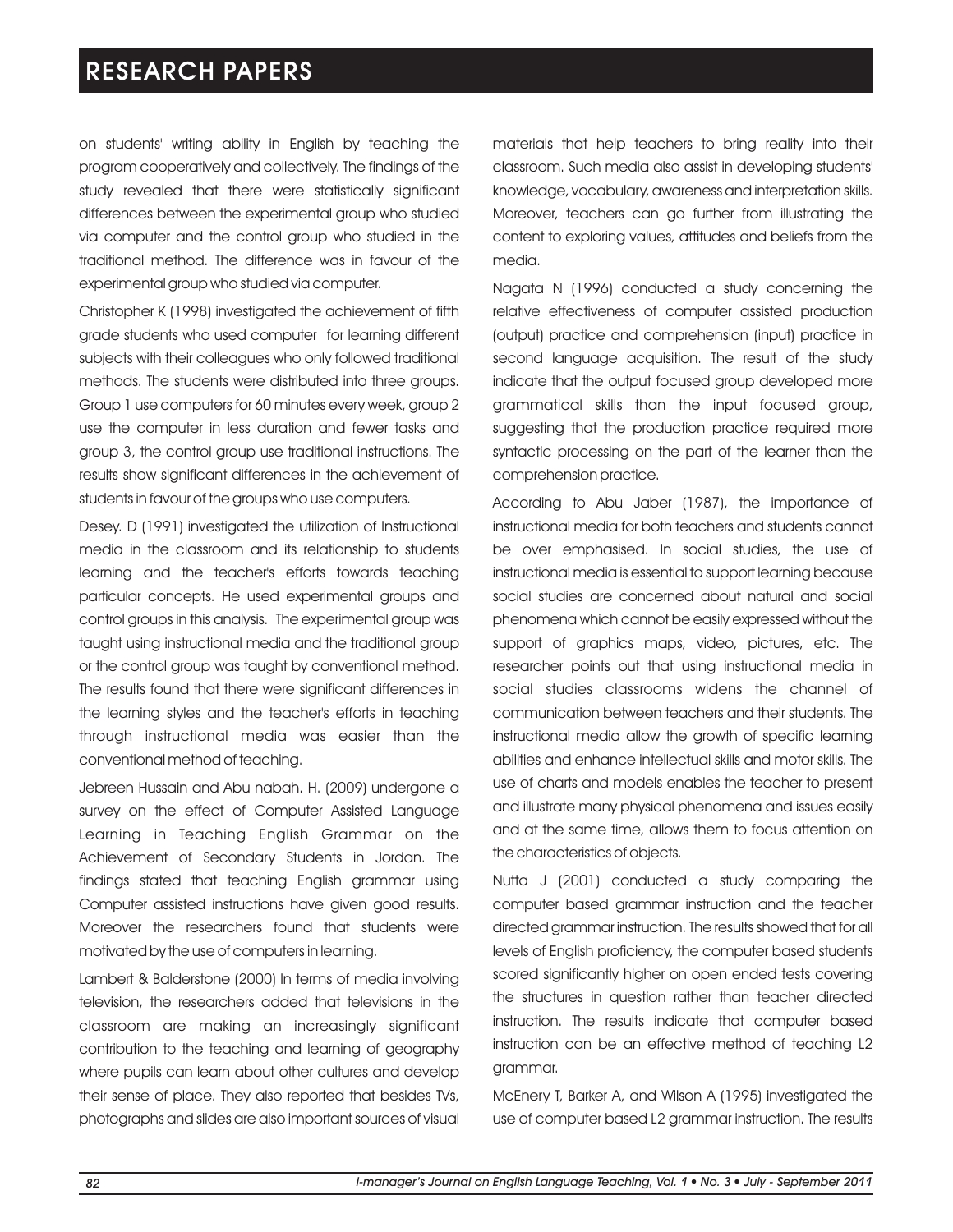on students' writing ability in English by teaching the program cooperatively and collectively. The findings of the study revealed that there were statistically significant differences between the experimental group who studied via computer and the control group who studied in the traditional method. The difference was in favour of the experimental group who studied via computer.

Christopher K (1998) investigated the achievement of fifth grade students who used computer for learning different subjects with their colleagues who only followed traditional methods. The students were distributed into three groups. Group 1 use computers for 60 minutes every week, group 2 use the computer in less duration and fewer tasks and group 3, the control group use traditional instructions. The results show significant differences in the achievement of students in favour of the groups who use computers.

Desey. D (1991) investigated the utilization of Instructional media in the classroom and its relationship to students learning and the teacher's efforts towards teaching particular concepts. He used experimental groups and control groups in this analysis. The experimental group was taught using instructional media and the traditional group or the control group was taught by conventional method. The results found that there were significant differences in the learning styles and the teacher's efforts in teaching through instructional media was easier than the conventional method of teaching.

Jebreen Hussain and Abu nabah. H. (2009) undergone a survey on the effect of Computer Assisted Language Learning in Teaching English Grammar on the Achievement of Secondary Students in Jordan. The findings stated that teaching English grammar using Computer assisted instructions have given good results. Moreover the researchers found that students were motivated by the use of computers in learning.

Lambert & Balderstone (2000) In terms of media involving television, the researchers added that televisions in the classroom are making an increasingly significant contribution to the teaching and learning of geography where pupils can learn about other cultures and develop their sense of place. They also reported that besides TVs, photographs and slides are also important sources of visual materials that help teachers to bring reality into their classroom. Such media also assist in developing students' knowledge, vocabulary, awareness and interpretation skills. Moreover, teachers can go further from illustrating the content to exploring values, attitudes and beliefs from the media.

Nagata N (1996) conducted a study concerning the relative effectiveness of computer assisted production (output) practice and comprehension (input) practice in second language acquisition. The result of the study indicate that the output focused group developed more grammatical skills than the input focused group, suggesting that the production practice required more syntactic processing on the part of the learner than the comprehension practice.

According to Abu Jaber (1987), the importance of instructional media for both teachers and students cannot be over emphasised. In social studies, the use of instructional media is essential to support learning because social studies are concerned about natural and social phenomena which cannot be easily expressed without the support of graphics maps, video, pictures, etc. The researcher points out that using instructional media in social studies classrooms widens the channel of communication between teachers and their students. The instructional media allow the growth of specific learning abilities and enhance intellectual skills and motor skills. The use of charts and models enables the teacher to present and illustrate many physical phenomena and issues easily and at the same time, allows them to focus attention on the characteristics of objects.

Nutta J (2001) conducted a study comparing the computer based grammar instruction and the teacher directed grammar instruction. The results showed that for all levels of English proficiency, the computer based students scored significantly higher on open ended tests covering the structures in question rather than teacher directed instruction. The results indicate that computer based instruction can be an effective method of teaching L2 grammar.

McEnery T, Barker A, and Wilson A (1995) investigated the use of computer based L2 grammar instruction. The results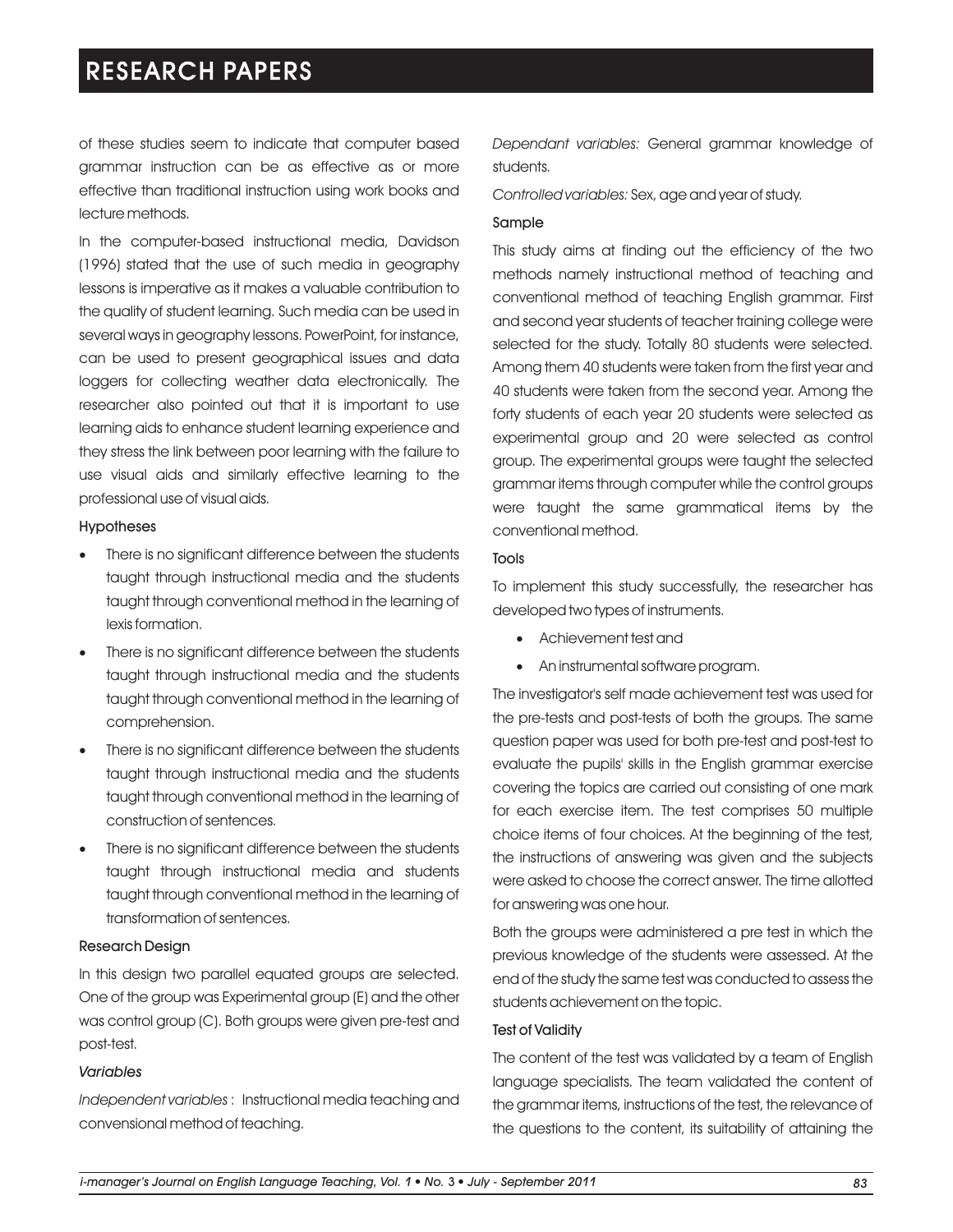of these studies seem to indicate that computer based grammar instruction can be as effective as or more effective than traditional instruction using work books and lecture methods.

In the computer-based instructional media, Davidson (1996) stated that the use of such media in geography lessons is imperative as it makes a valuable contribution to the quality of student learning. Such media can be used in several ways in geography lessons. PowerPoint, for instance, can be used to present geographical issues and data loggers for collecting weather data electronically. The researcher also pointed out that it is important to use learning aids to enhance student learning experience and they stress the link between poor learning with the failure to use visual aids and similarly effective learning to the professional use of visual aids.

#### Hypotheses

- There is no significant difference between the students taught through instructional media and the students taught through conventional method in the learning of lexis formation.
- There is no significant difference between the students taught through instructional media and the students taught through conventional method in the learning of comprehension.
- There is no significant difference between the students taught through instructional media and the students taught through conventional method in the learning of construction of sentences.
- There is no significant difference between the students taught through instructional media and students taught through conventional method in the learning of transformation of sentences.

# Research Design

In this design two parallel equated groups are selected. One of the group was Experimental group (E) and the other was control group (C). Both groups were given pre-test and post-test.

# *Variables*

*Independent variables* : Instructional media teaching and convensional method of teaching.

*Dependant variables:* General grammar knowledge of students.

*Controlled variables:* Sex, age and year of study.

### Sample

This study aims at finding out the efficiency of the two methods namely instructional method of teaching and conventional method of teaching English grammar. First and second year students of teacher training college were selected for the study. Totally 80 students were selected. Among them 40 students were taken from the first year and 40 students were taken from the second year. Among the forty students of each year 20 students were selected as experimental group and 20 were selected as control group. The experimental groups were taught the selected grammar items through computer while the control groups were taught the same grammatical items by the conventional method.

#### Tools

To implement this study successfully, the researcher has developed two types of instruments.

- ·Achievement test and
- ·An instrumental software program.

The investigator's self made achievement test was used for the pre-tests and post-tests of both the groups. The same question paper was used for both pre-test and post-test to evaluate the pupils' skills in the English grammar exercise covering the topics are carried out consisting of one mark for each exercise item. The test comprises 50 multiple choice items of four choices. At the beginning of the test, the instructions of answering was given and the subjects were asked to choose the correct answer. The time allotted for answering was one hour.

Both the groups were administered a pre test in which the previous knowledge of the students were assessed. At the end of the study the same test was conducted to assess the students achievement on the topic.

# Test of Validity

The content of the test was validated by a team of English language specialists. The team validated the content of the grammar items, instructions of the test, the relevance of the questions to the content, its suitability of attaining the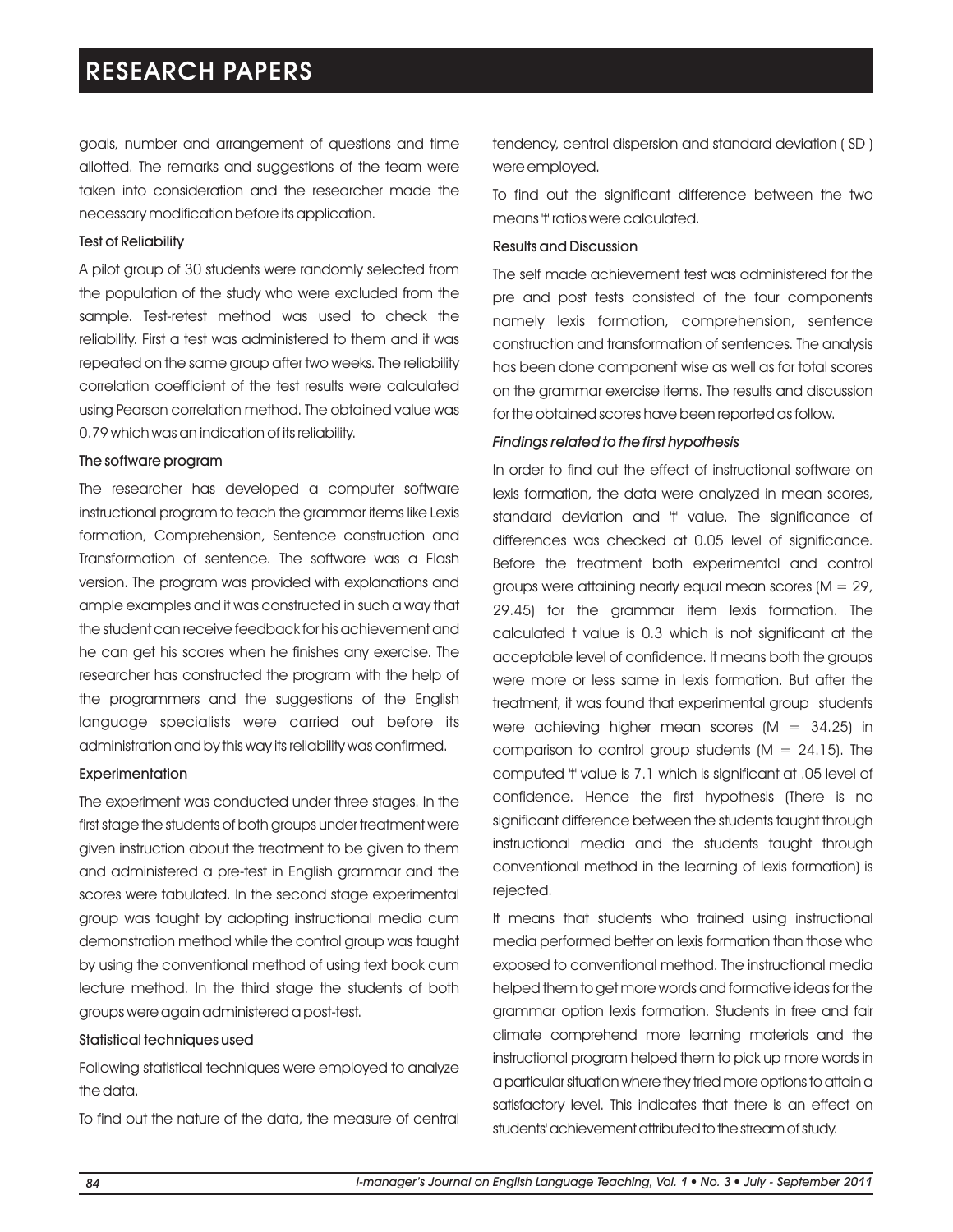goals, number and arrangement of questions and time allotted. The remarks and suggestions of the team were taken into consideration and the researcher made the necessary modification before its application.

#### Test of Reliability

A pilot group of 30 students were randomly selected from the population of the study who were excluded from the sample. Test-retest method was used to check the reliability. First a test was administered to them and it was repeated on the same group after two weeks. The reliability correlation coefficient of the test results were calculated using Pearson correlation method. The obtained value was 0.79 which was an indication of its reliability.

#### The software program

The researcher has developed a computer software instructional program to teach the grammar items like Lexis formation, Comprehension, Sentence construction and Transformation of sentence. The software was a Flash version. The program was provided with explanations and ample examples and it was constructed in such a way that the student can receive feedback for his achievement and he can get his scores when he finishes any exercise. The researcher has constructed the program with the help of the programmers and the suggestions of the English language specialists were carried out before its administration and by this way its reliability was confirmed.

# **Experimentation**

The experiment was conducted under three stages. In the first stage the students of both groups under treatment were given instruction about the treatment to be given to them and administered a pre-test in English grammar and the scores were tabulated. In the second stage experimental group was taught by adopting instructional media cum demonstration method while the control group was taught by using the conventional method of using text book cum lecture method. In the third stage the students of both groups were again administered a post-test.

# Statistical techniques used

Following statistical techniques were employed to analyze the data.

To find out the nature of the data, the measure of central

tendency, central dispersion and standard deviation ( SD ) were employed.

To find out the significant difference between the two means 't' ratios were calculated.

### Results and Discussion

The self made achievement test was administered for the pre and post tests consisted of the four components namely lexis formation, comprehension, sentence construction and transformation of sentences. The analysis has been done component wise as well as for total scores on the grammar exercise items. The results and discussion for the obtained scores have been reported as follow.

#### *Findings related to the first hypothesis*

In order to find out the effect of instructional software on lexis formation, the data were analyzed in mean scores, standard deviation and 't' value. The significance of differences was checked at 0.05 level of significance. Before the treatment both experimental and control groups were attaining nearly equal mean scores ( $M = 29$ , 29.45) for the grammar item lexis formation. The calculated t value is 0.3 which is not significant at the acceptable level of confidence. It means both the groups were more or less same in lexis formation. But after the treatment, it was found that experimental group students were achieving higher mean scores  $(M = 34.25)$  in comparison to control group students  $(M = 24.15)$ . The computed 't' value is 7.1 which is significant at .05 level of confidence. Hence the first hypothesis (There is no significant difference between the students taught through instructional media and the students taught through conventional method in the learning of lexis formation) is rejected.

It means that students who trained using instructional media performed better on lexis formation than those who exposed to conventional method. The instructional media helped them to get more words and formative ideas for the grammar option lexis formation. Students in free and fair climate comprehend more learning materials and the instructional program helped them to pick up more words in a particular situation where they tried more options to attain a satisfactory level. This indicates that there is an effect on students' achievement attributed to the stream of study.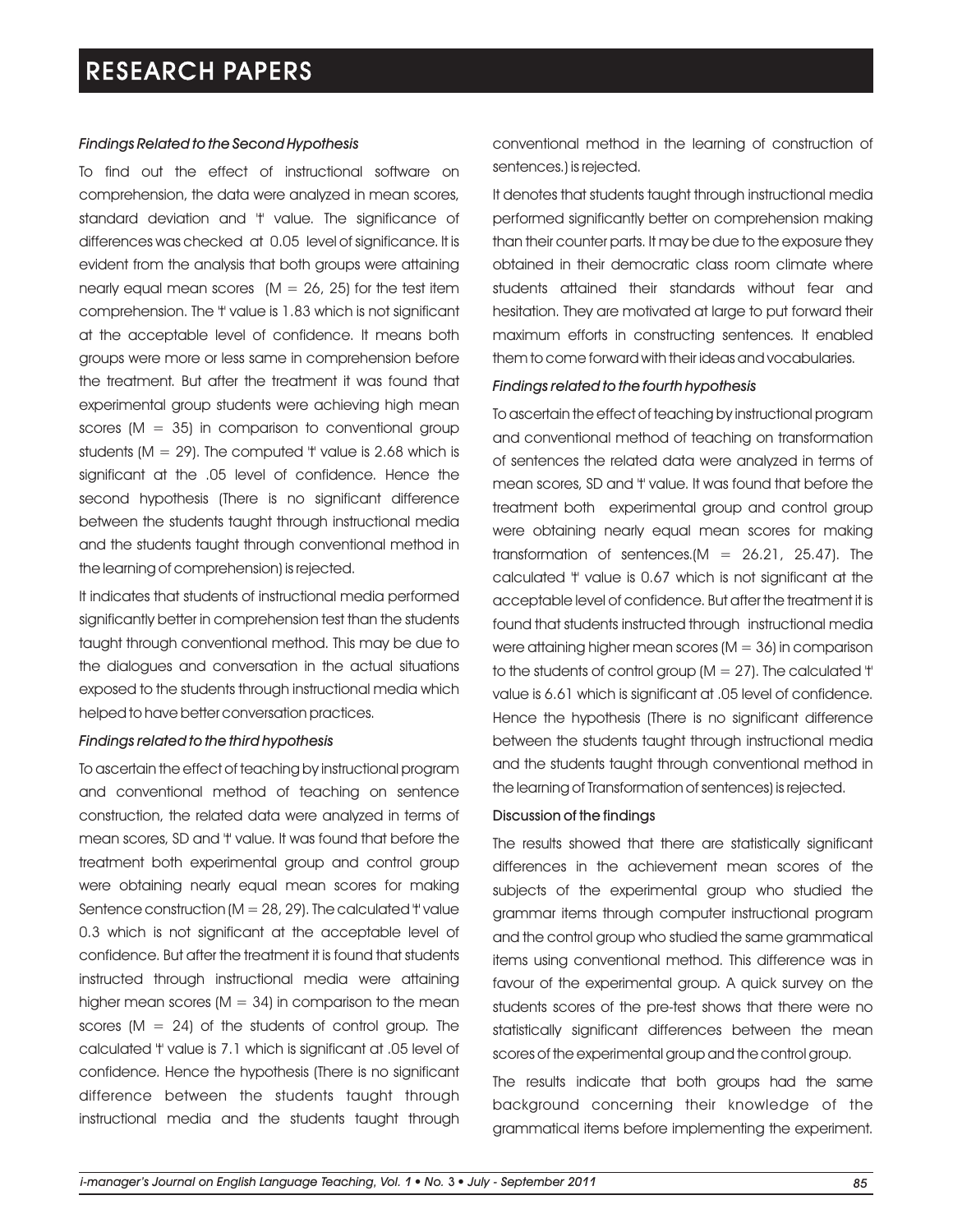### *Findings Related to the Second Hypothesis*

To find out the effect of instructional software on comprehension, the data were analyzed in mean scores, standard deviation and 't' value. The significance of differences was checked at 0.05 level of significance. It is evident from the analysis that both groups were attaining nearly equal mean scores  $(M = 26, 25)$  for the test item comprehension. The 't' value is 1.83 which is not significant at the acceptable level of confidence. It means both groups were more or less same in comprehension before the treatment. But after the treatment it was found that experimental group students were achieving high mean scores ( $M = 35$ ) in comparison to conventional group students ( $M = 29$ ). The computed 't' value is 2.68 which is significant at the .05 level of confidence. Hence the second hypothesis (There is no significant difference between the students taught through instructional media and the students taught through conventional method in the learning of comprehension) is rejected.

It indicates that students of instructional media performed significantly better in comprehension test than the students taught through conventional method. This may be due to the dialogues and conversation in the actual situations exposed to the students through instructional media which helped to have better conversation practices.

#### *Findings related to the third hypothesis*

To ascertain the effect of teaching by instructional program and conventional method of teaching on sentence construction, the related data were analyzed in terms of mean scores, SD and 't' value. It was found that before the treatment both experimental group and control group were obtaining nearly equal mean scores for making Sentence construction ( $M = 28$ , 29). The calculated 't' value 0.3 which is not significant at the acceptable level of confidence. But after the treatment it is found that students instructed through instructional media were attaining higher mean scores ( $M = 34$ ) in comparison to the mean scores  $(M = 24)$  of the students of control group. The calculated 't' value is 7.1 which is significant at .05 level of confidence. Hence the hypothesis (There is no significant difference between the students taught through instructional media and the students taught through conventional method in the learning of construction of sentences.) is rejected.

It denotes that students taught through instructional media performed significantly better on comprehension making than their counter parts. It may be due to the exposure they obtained in their democratic class room climate where students attained their standards without fear and hesitation. They are motivated at large to put forward their maximum efforts in constructing sentences. It enabled them to come forward with their ideas and vocabularies.

### *Findings related to the fourth hypothesis*

To ascertain the effect of teaching by instructional program and conventional method of teaching on transformation of sentences the related data were analyzed in terms of mean scores, SD and 't' value. It was found that before the treatment both experimental group and control group were obtaining nearly equal mean scores for making transformation of sentences.( $M = 26.21$ , 25.47). The calculated 't' value is 0.67 which is not significant at the acceptable level of confidence. But after the treatment it is found that students instructed through instructional media were attaining higher mean scores  $(M = 36)$  in comparison to the students of control group  $(M = 27)$ . The calculated 't' value is 6.61 which is significant at .05 level of confidence. Hence the hypothesis (There is no significant difference between the students taught through instructional media and the students taught through conventional method in the learning of Transformation of sentences) is rejected.

#### Discussion of the findings

The results showed that there are statistically significant differences in the achievement mean scores of the subjects of the experimental group who studied the grammar items through computer instructional program and the control group who studied the same grammatical items using conventional method. This difference was in favour of the experimental group. A quick survey on the students scores of the pre-test shows that there were no statistically significant differences between the mean scores of the experimental group and the control group.

The results indicate that both groups had the same background concerning their knowledge of the grammatical items before implementing the experiment.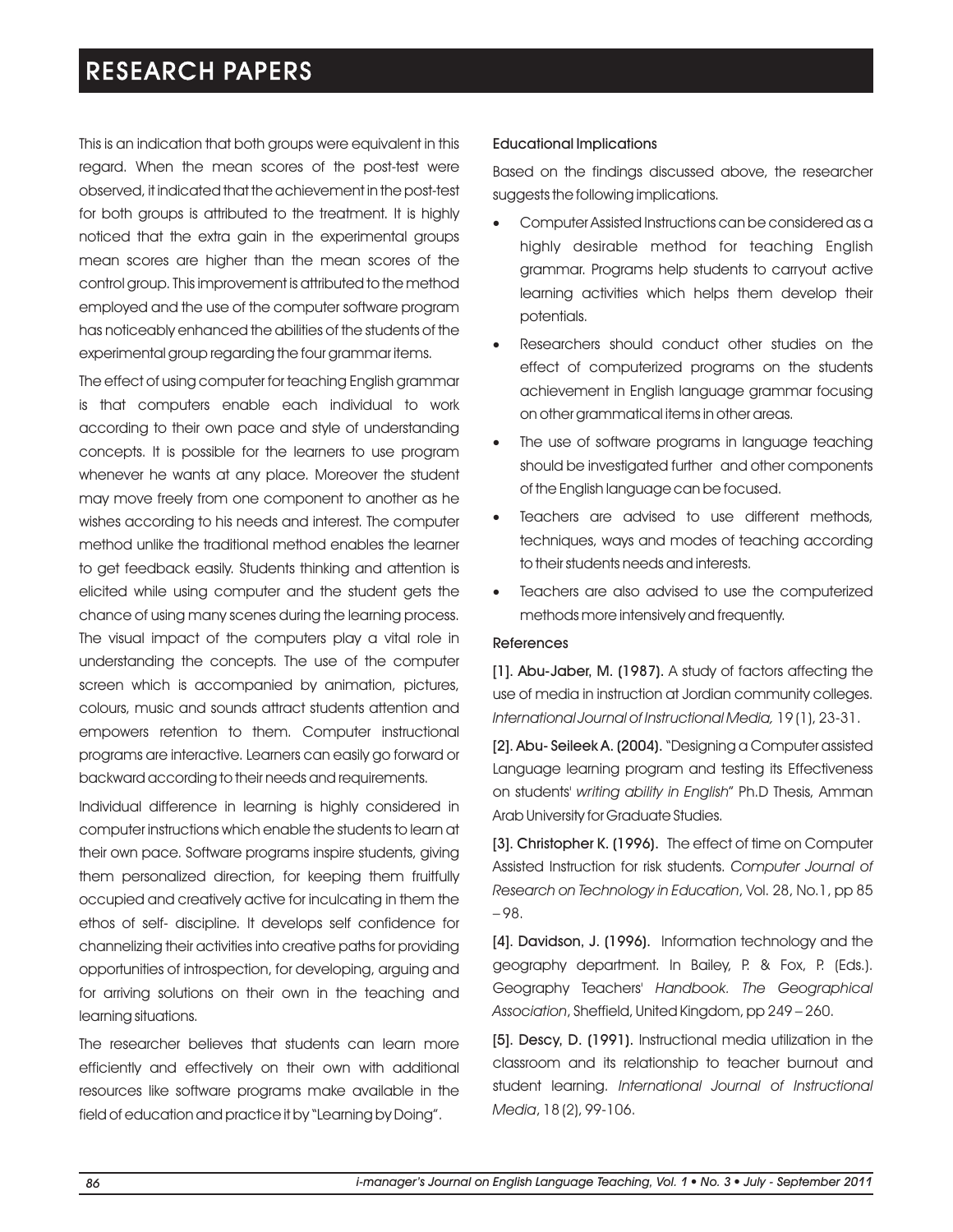This is an indication that both groups were equivalent in this regard. When the mean scores of the post-test were observed, it indicated that the achievement in the post-test for both groups is attributed to the treatment. It is highly noticed that the extra gain in the experimental groups mean scores are higher than the mean scores of the control group. This improvement is attributed to the method employed and the use of the computer software program has noticeably enhanced the abilities of the students of the experimental group regarding the four grammar items.

The effect of using computer for teaching English grammar is that computers enable each individual to work according to their own pace and style of understanding concepts. It is possible for the learners to use program whenever he wants at any place. Moreover the student may move freely from one component to another as he wishes according to his needs and interest. The computer method unlike the traditional method enables the learner to get feedback easily. Students thinking and attention is elicited while using computer and the student gets the chance of using many scenes during the learning process. The visual impact of the computers play a vital role in understanding the concepts. The use of the computer screen which is accompanied by animation, pictures, colours, music and sounds attract students attention and empowers retention to them. Computer instructional programs are interactive. Learners can easily go forward or backward according to their needs and requirements.

Individual difference in learning is highly considered in computer instructions which enable the students to learn at their own pace. Software programs inspire students, giving them personalized direction, for keeping them fruitfully occupied and creatively active for inculcating in them the ethos of self- discipline. It develops self confidence for channelizing their activities into creative paths for providing opportunities of introspection, for developing, arguing and for arriving solutions on their own in the teaching and learning situations.

The researcher believes that students can learn more efficiently and effectively on their own with additional resources like software programs make available in the field of education and practice it by "Learning by Doing".

### Educational Implications

Based on the findings discussed above, the researcher suggests the following implications.

- Computer Assisted Instructions can be considered as a highly desirable method for teaching English grammar. Programs help students to carryout active learning activities which helps them develop their potentials.
- Researchers should conduct other studies on the effect of computerized programs on the students achievement in English language grammar focusing on other grammatical items in other areas.
- The use of software programs in language teaching should be investigated further and other components of the English language can be focused.
- Teachers are advised to use different methods, techniques, ways and modes of teaching according to their students needs and interests.
- Teachers are also advised to use the computerized methods more intensively and frequently.

#### References

[1]. Abu-Jaber, M. (1987). A study of factors affecting the use of media in instruction at Jordian community colleges. *International Journal of Instructional Media,* 19 (1), 23-31.

[2]. Abu- Seileek A. (2004). "Designing a Computer assisted Language learning program and testing its Effectiveness on students' *writing ability in English*" Ph.D Thesis, Amman Arab University for Graduate Studies.

[3]. Christopher K. (1996). The effect of time on Computer Assisted Instruction for risk students. *Computer Journal of Research on Technology in Education*, Vol. 28, No.1, pp 85 – 98.

[4]. Davidson, J. (1996). Information technology and the geography department. In Bailey, P. & Fox, P. (Eds.). Geography Teachers' *Handbook. The Geographical Association*, Sheffield, United Kingdom, pp 249 – 260.

[5]. Descy, D. (1991). Instructional media utilization in the classroom and its relationship to teacher burnout and student learning. *International Journal of Instructional Media*, 18 (2), 99-106.